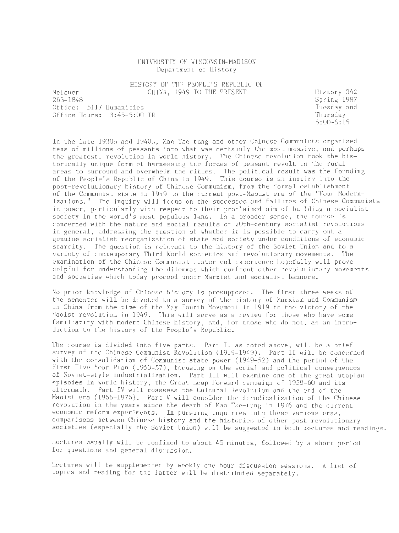### UNIVERSITY OF WISCONSIN-MADISON Department of History

HISTORY OF THE PEOPLE'S REPUBLIC OF CHINA, 1949 TO THE PRESENT

Meisner 263-1848 Office: 5117 Humanities Office Hours: 3: 45-5 :00 TR History 342 Spring 1987 Tuesday and Thursday 5 :00-6:15

In the late 1930s and 1940s, Mao Tse- tung and other Chinese Communists organized tens of millions of peasants into what was certainly the most massive, and perhaps the greatest, revolution in world history. The Chinese revolution took the historically unique form of harnessing the forces of peasant revolt in the rural areas to surround and overwhelm the cities. The political result was the founding of the People's Republic of China in 1949. This course is an inquiry into the post-revolutionary history of Chinese Communism, from the formal establishment of the Communist state in 1949 to the current post-Maoist era of the "Four Modernizations." The inquiry will focus on the successes and failures of Chinese Communists in power, particularly with respect to their proclaimed aim of building a socialist society in the world's most populous land. In a broader sense, the course is concerned with the nature and social results of 20th-century socialist revolutions in general, addressing the question of whether it is possible to carry out a genuine socialist reorganization of state and society under conditions of economic scarcity. The question is relevant to the history of the Soviet Union and to a variety of contemporary Third World societies and revolutionary movements. The examination of the Chinese Communist historical experience hopefully will prove helpful for understanding the dilemmas which confront other revolutionary movements and societies which today proceed under Marxist and socialist banners.

No prior knowledge of Chinese history is presupposed. The first three weeks of the semester will be devoted to a survey of the history of Marxism and Communism in China from the time of the May Fourth Movement in 1919 to the victory of the Maoist revolution in 1949. This will serve as a review for those who have some familiarity with modern Chinese history, and, for those who do not, as an introduction to the history of the People's Republic.

The course is divided into five parts. Part I, as noted above, will be a brief survey of the Chinese Communist Revolution (1919-1949). Part II will be concerned with the consolidation of Communist state power ( 1949-52) and the period of the First Five Year Plan (1953-57) , focusing on the social and political consequences of Soviet-style industrialization. Part III will examine one of the great utopian episodes in world history, the Great Leap Forward campaign of 1958-60 and its aftermath. Part IV will reassess the Cultural Revolution and the end of the Maoist era (1966-1976). Part V will consider the deradicalization of the Chinese revolution in the years since the death of Mao Tse-tung *in* 1976 and the current economic reform experiments. In pursuing inquiries into these various eras, comparisons between Chinese history and the histories of other post-revolutionary societies (especially the Soviet Union) will be suggested in both lectures and readings.

Lectures usually will be confined to about 45 minutes, followed by a short period for questions and general discussion .

Lectures will be supplemented by weekly one-hour discussion sessions. A list of topics and reading for the latter will be distributed separately.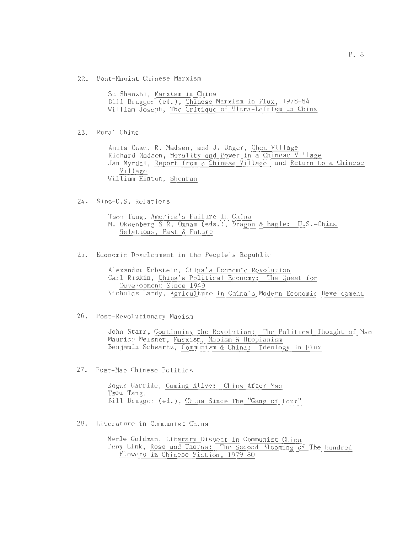22. Post-Maoist Chinese Marxism

| Su Shaozhi, Marxism in China |                                                        |
|------------------------------|--------------------------------------------------------|
|                              | Bill Brugger (ed.), Chinese Marxism in Flux, 1978-84   |
|                              | William Joseph, The Critique of Ultra-Leftism in China |

23. Rural China

Anita Chan, R. Madsen, and J. Unger, Chen Village Richard Madsen, Morality and Power in a Chinese Village Jan Myrdal, Report from a Chinese Village and Return to a Chinese Village William Hinton, Shenfan

24. Sino-U.S. Relations

Tsou Tang, America's Failure in China M. Oksenberg & R. Oxnam (eds.), Dragon & Eagle: U.S.-China Relations, Past & Future

25. Economic Development in the People's Republic

Alexander Echstein, China 's Economic Revolution Carl Riskin, China's Political Economy: The Quest for Development Since 1949 Nicholas Lardy, Agriculture in China's Modern Economic Development

26. Post-Revolutionary Maoism

John Starr, Continuing the Revolution: The Political Thought of Mao Maurice Meisner, Marxism, Maoism & Utopianism Benjamin Schwartz, Communism & China: Ideology in Flux

27. Post-Mao Chinese Politics

Roger Garride, Coming Alive: China After Mao Tsou Tang, Bill Brugger (ed.), China Since The "Gang of Four"

28. Literature in Communist China

Merle Goldman, Literary Dissent in Communist China Peny Link, Rose and Thorns: The Second Blooming of The Hundred Flowers in Chinese Fiction, 1979-80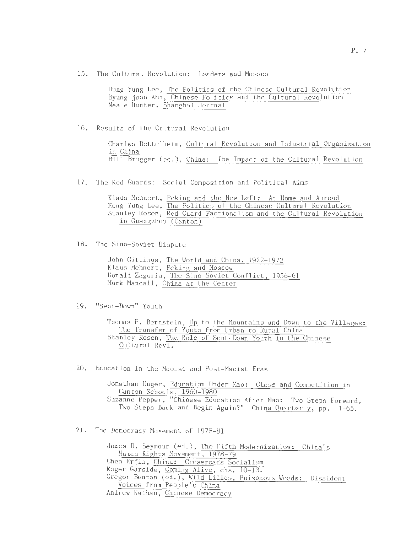15. The Cultural Revolution: Leaders and Masses

Hung Yung Lee, The Politics of the Chinese Cultural Revolution Byung-joon Ahn, Chinese Politics and the Cultural Revolution Neale Hunter, Shanghai Journal

16. Results of the Cultural Revolution

Charles Bettelheim, Cultural Revolution and Industrial Organization *in* China Bill Brugger (ed.), China: The Impact of the Cultural Revolution

17. The Red Guards: Social Composition and Political Aims

Klaus Mehnert, Peking and the New Left: At !lome and Abroad Hong Yung Lee, The Politics of the Chinese Cultural Revolution Stanley Rosen, Red Guard Factionalism and the Cultural Revolution in Guangzhou (Canton)

18. The Sino-Soviet Dispute

John Gittings, The World and China, 1922-1972 Klaus Mehnert, Peking and Moscow Donald Zagoria, The Sino-Soviet Conflict, 1956-61 Mark Mancall, China at the Center

19. "Sent-Down" Youth

Thomas P. Bernstein, Up to the Mountains and Down to the Villages: The Transfer of Youth from Urban to Rural China Stanley Rosen, The Role of Sent-Down Youth in the Chinese Cultural Revl.

20. Education in the Maoist and Post-Maoist Eras

Jonathan Unger, Education Under Mao: Class and Competition in Canton Schools, 1960-1980 Suzanne Pepper, "Chinese Education After Mao: Two Steps Forward, Two Steps Back and Begin Again?" China Quarterly, pp. 1-65.

21. The Democracy Movement of 1978-81

James D. Seymour (ed.), The Fifth Modernization: China's Human Rights Movement, 1978-79 Chen Erjin, China: Crossroads Socialism Roger Garside, Coming Alive, chs. 10-13. Gregor Benton (ed.), Wild Lilies, Poisonous Weeds: Dissident Voices from People's China Andrew Nathan, Chinese Democracy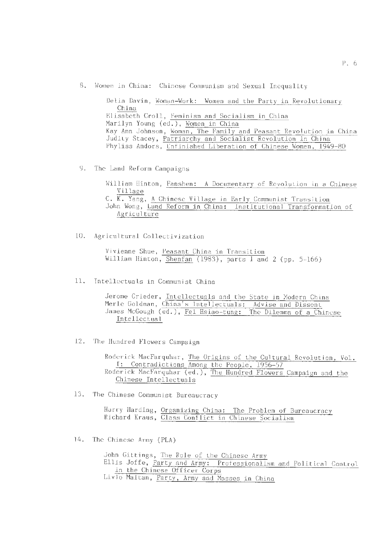8. Women in China: Chinese Communism and Sexual Inequality

Delia Davin, Woman-Work: Women and the Party in Revolutionary China Elisabeth Croll, Feminism and Socialism in China Marilyn Young (ed.), Women in China Kay Ann Johnson, Woman, The Family and Peasant Revolution in China Judity Stacey, Patriarchy and Socialist Revolution in China Phyliss Andors, Unfinished Liberation of Chinese Women, 1949-80

9. The Land Reform Campaigns

William Hinton, Fanshen: A Documentary of Revolution in a Chinese<br>Village C. K. Yang, A Chinese Village in John Wong, Land Reform in China: Agriculture Early Communist Transition Institutional Transformation of

10. Agricultural Collectivization

Vivienne Shue, Peasant China in Transition William Hinton, Shenfan (1983), parts 1 and 2 (pp. 5-166)

11. Intellectuals in Communist China

Jerome Grieder, Intellectuals and the State in Modern China Merle Goldman, China's Intellectuals: Advise and Dissent James McGough (ed.), Fei Hsiao-tung: The Dilemma of a Chinese<br>Intellectual

12. The Hundred Flowers Campaign

Roderick MacFarquhar, The Origins of the Cultural Revolution, Vol. I: Contradictions Among the People, 1956-57 Roderick MacFarquhar (ed.), The Hundred Flowers Campaign and the Chinese Intellectuals

13. The Chinese Communist Bureaucracy

Harry Harding, Organizing China: The Problem of Bureaucracy Richard Kraus, Class Conflict in Chinese Socialism

14. The Chinese Army (PLA)

John Gittings, The Role of the Chinese Army Ellis Joffe, Party and Army: Professionalism and Political Control in the Chinese Officer Corps Livio Maitan, Party, Army and Masses in China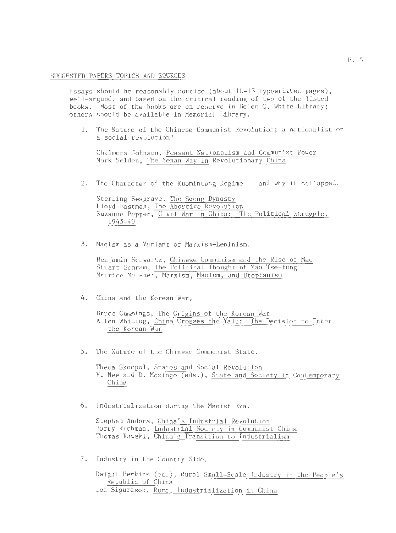#### SUGGESTED PAPERS TOPICS AND SOURCES

Essays should be reasonably concise (about  $10-15$  typewritten pages), well-argued, and based on the critical reading of two of the listed books. Most of the books are on reserve in Helen C. White Library; others should be available in Memorial Library.

1. The Nature of the Chinese Communist Revolution; a nationalist or a social revolution?

Chalmers Johnson, Peasant Nationalism and Communist Power Mark Selden, The Yenan Way in Revolutionary China

2. The Character of the Kuomintang Regime -- and why it collapsed.

Sterling Seagrave, The Soong Dynasty Lloyd Eastman, The Abortive Revolution Suzanne Pepper, Civil War in China: The Political Struggle, 1945-49

3. Maoism as a Variant of Marxism-Leninism.

Benjamin Schwartz , Chinese Communism and the Rise of Mao Stuart Schram, The Political Thought of Mao Tse-tung Maurice Meisner, Marxism, Maoism, and Utopianism

4. China and the Korean War .

Bruce Cummings, The Origins of the Korean War Allen Whiting, China Crosses the Yalu: The Decision to Enter the Korean War

5. The Nature of the Chinese Communist State .

Theda Skocpol, States and Social Revolution V. Nee and D. Mozingo (eds.), State and Society in Contemporary China

6. Industrialization during the Maoist Era.

Stephen Anders, China's Industrial Revolution Barry Richman, Industrial Society in Communist China Thomas Rawski, China's Transition to Industrialism

7. Industry in the Country Side .

Dwight Perkins (ed . ), Rural Small-Scale Industry *in* the People's Republic of China Jon Sigurdson, Rural Industrialization in China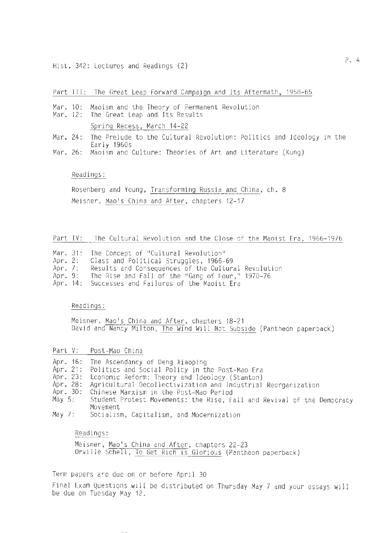#### Part III: The Great Leap Forward Campaign and Its Aftermath, 1958-65

- Mar. 10: Maoism and the Theory of Permanent Revolution
- Mar. 12: The Great Leap and Its Results Spring Recess, March 14-22
- Mar. 24: 24: The Prelude to the Cultural Revolution: Politics and Ideology in the Early 1960s
- Mar. 26 : Maoism and Culture: Theories of Art and Literature (Kung)

# Readings:

Rosenberg and Young, Transforming Russia and China, ch. 8 Meisner, Mao's China and After, chapters 12-17

# Part IV: The Cultural Revolution and the Close of the Maoist Era, 1966-1976

|  |  |  |  |  |  | Mar. 31: The Concept of "Cultural Revolution" |
|--|--|--|--|--|--|-----------------------------------------------|
|--|--|--|--|--|--|-----------------------------------------------|

- Apr. 2: Class and Political Struggles, 1966-69
- Apr. 7: Results and Consequences of the Cultural Revolution
- Apr. 9: The Rise and Fall of the "Gang of Four," 1970-76
- Apr. 14: Successes and Failures of the Maoist Era

Readings:

Meisner, Mao's China and After, chapters 18-21 David and Nancy Milton, The Wind Will Not Subside (Pantheon paperback)

Part V: Post-Mao China

Apr. 16: The Ascendancy of Deng Xiaoping

- Apr. 21: Politics and Social Policy in the Post-Mao Era
- Apr. 23: Economic Reform: Theory and Ideology (Stanton)
- Apr. 28: Agricultural Decollectivization and Industrial Reorganization Chinese Marxism in the Post-Mao Period
- Apr. 30 :
- May 5: Student Protest Movements: the Rise, Fall and Revival of the Democracy Movement
- May 7: Socialism, Capitalism, and Modernization

## Readings:

Meisner, Mao's China and After, chapters 22-23 Orville Schell, To Get Rich is Glorious (Pantheon paperback)

Term papers are due on or before April 30

Final Exam Questions will be distributed on Thursday May 7 and your essays will be due on Tuesday May 12.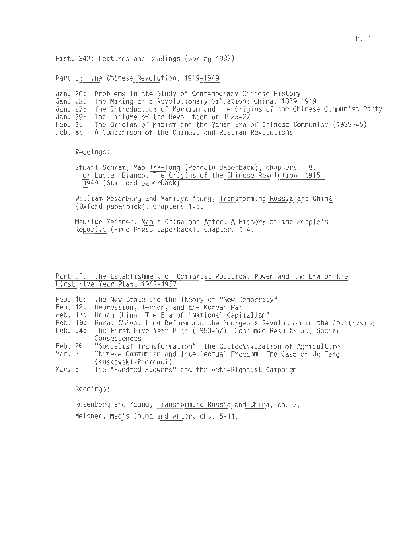Hist. 342: Lectures and Readings (Spring 1987)

Part I: The Chinese Revolution, 1919-1949

- Jan. 20: Problems in the Study of Contemporary Chinese History<br>Jan. 22: The Making of a Revolutionary Situation: China, 1839-
- The Making of a Revolutionary Situation: China, 1839-1919
- Jan. 27: The Introduction of Marxism and the Origins of the Chinese Communist Party
- Jan. 29: The Failure of the Revolution of 1925-27<br>Feb. 3: The Origins of Maoism and the Yenan Era
- Feb. 3: The Origins of Maoism and the Yenan Era of Chinese Communism (1935-45)<br>Feb. 5: A Comparison of the Chinese and Russian Revolutions
- A Comparison of the Chinese and Russian Revolutions

Readings:

Stuart Schram, Mao Tse-tung (Penguin paperback), chapters 1-8. or Lucien Bianco, The Origins of the Chinese Revolution, 1915- 1949 (Stanford paperback)

William Rosenberg and Marilyn Young, Transforming Russia and China (Oxford paperback), chapters 1-6.

Maurice Meisner, Mao's China and After: A History of the People's Republic (Free Press paperback), chapters 1-4.

# Part II: The Establishment of Communist Political Power and the Era of the First Five Year Plan, 1949-1957

- Feb. 10: The New State and the Theory of "New Democracy"<br>Feb. 12: Repression, Terror, and the Korean War
- Feb. 12:
- Feb. 17:
- Feb. 19: Urban China: The Era of "National Capitalism"<br>Rural China: Land Reform and the Bourgeois Revolution in the Countryside<br>The First Five Year Plan (1953-57): Economic Results and Social
- Feb. Feb. Feb. 24: Consequences
- Feb. 26:
- Mar. 3: "Socialist Transformation": the Collectivization of Agriculture Chinese Communism and Intellectual Freedom: The Case of Hu Feng (Kuskowski-Pieronni)
- Mar. 5: The "Hundred Flowers" and the Anti-Rightist Campaign

Readings:

Rosenberg and Young, Transforming Russia and China, ch. 7. Meisner, Mao's China and After, chs. 5-11.